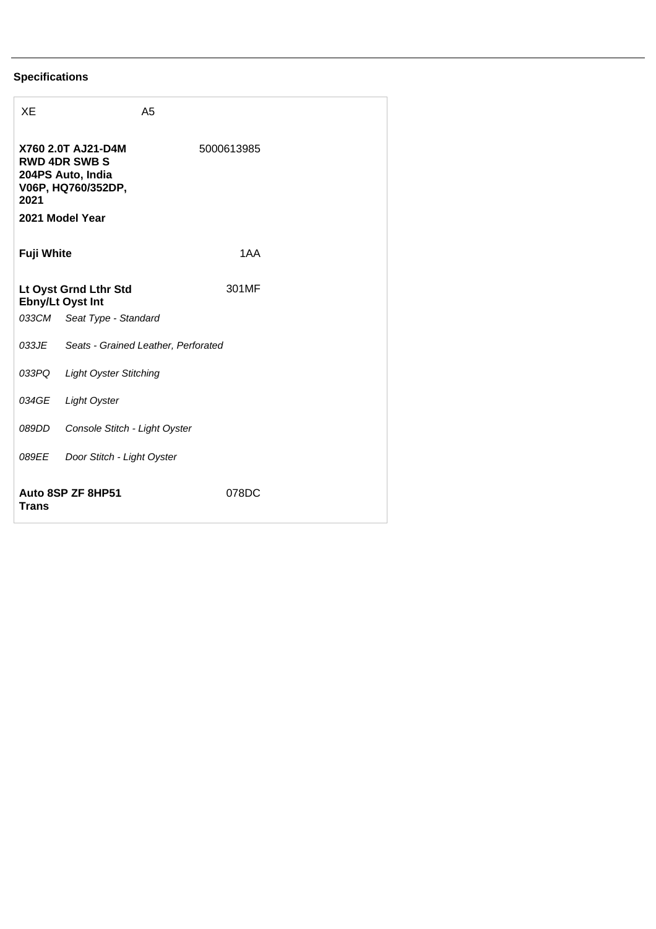## **Specifications**

| XE                                                                                                               |                                     | A <sub>5</sub> |       |  |  |
|------------------------------------------------------------------------------------------------------------------|-------------------------------------|----------------|-------|--|--|
| X760 2.0T AJ21-D4M<br><b>RWD 4DR SWB S</b><br>204PS Auto, India<br>V06P, HQ760/352DP,<br>2021<br>2021 Model Year |                                     | 5000613985     |       |  |  |
| <b>Fuji White</b>                                                                                                |                                     | 1AA            |       |  |  |
| Lt Oyst Grnd Lthr Std<br><b>Ebny/Lt Oyst Int</b>                                                                 |                                     | 301MF          |       |  |  |
|                                                                                                                  | 033CM Seat Type - Standard          |                |       |  |  |
| 033JE                                                                                                            | Seats - Grained Leather, Perforated |                |       |  |  |
| 033PQ                                                                                                            | <b>Light Oyster Stitching</b>       |                |       |  |  |
| 034GE                                                                                                            | <b>Light Oyster</b>                 |                |       |  |  |
| 089DD                                                                                                            | Console Stitch - Light Oyster       |                |       |  |  |
| 089EE                                                                                                            | Door Stitch - Light Oyster          |                |       |  |  |
| Auto 8SP ZF 8HP51<br><b>Trans</b>                                                                                |                                     |                | 078DC |  |  |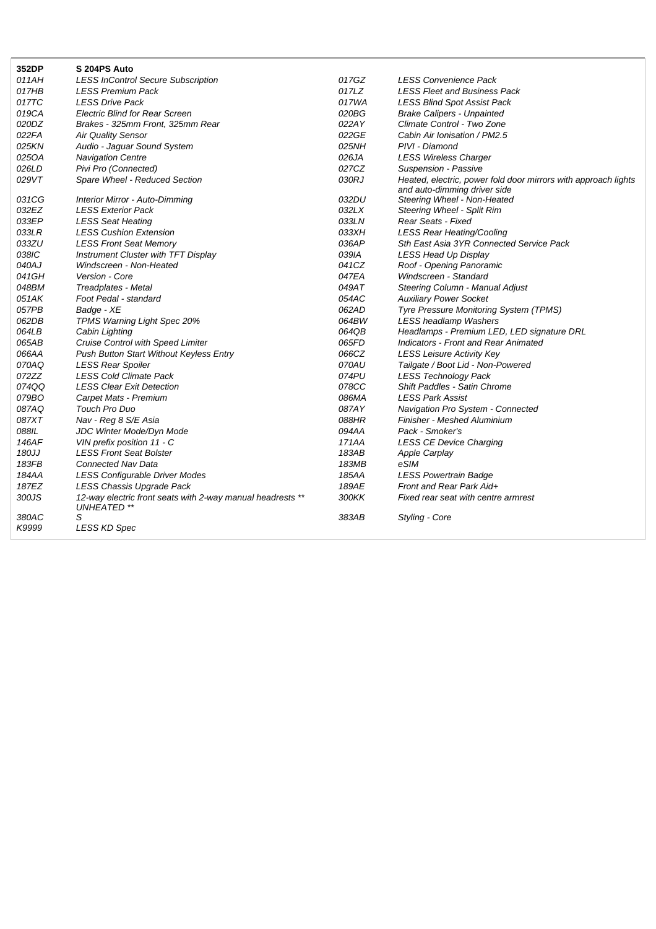| 011AH<br><b>LESS InControl Secure Subscription</b><br>017GZ<br><b>LESS Convenience Pack</b><br>017HB<br>LESS Premium Pack<br>017LZ<br><b>LESS Fleet and Business Pack</b><br>017TC<br>017WA<br><b>LESS Drive Pack</b><br><b>LESS Blind Spot Assist Pack</b><br>019CA<br><b>Electric Blind for Rear Screen</b><br>020BG<br><b>Brake Calipers - Unpainted</b><br>020DZ<br>022AY<br>Climate Control - Two Zone<br>Brakes - 325mm Front, 325mm Rear<br>022FA<br><b>Air Quality Sensor</b><br>022GE<br>Cabin Air Ionisation / PM2.5<br>025NH<br>025KN<br>Audio - Jaguar Sound System<br>PIVI - Diamond<br>025OA<br><b>Navigation Centre</b><br>026JA<br><b>LESS Wireless Charger</b><br>027CZ<br>026LD<br>Pivi Pro (Connected)<br>Suspension - Passive<br>030RJ<br>029VT<br>Spare Wheel - Reduced Section<br>Heated, electric, power fold door mirrors with approach lights<br>and auto-dimming driver side<br>031CG<br>032DU<br>Interior Mirror - Auto-Dimming<br>Steering Wheel - Non-Heated<br>032EZ<br>032LX<br><b>LESS Exterior Pack</b><br>Steering Wheel - Split Rim<br>033EP<br>033LN<br>Rear Seats - Fixed<br><b>LESS Seat Heating</b><br>033XH<br>033LR<br><b>LESS Cushion Extension</b><br><b>LESS Rear Heating/Cooling</b><br>033ZU<br>036AP<br>Sth East Asia 3YR Connected Service Pack<br><b>LESS Front Seat Memory</b><br>038IC<br>Instrument Cluster with TFT Display<br>039IA<br>LESS Head Up Display<br>041CZ<br>040AJ<br>Windscreen - Non-Heated<br>Roof - Opening Panoramic<br>041GH<br>047EA<br>Windscreen - Standard<br>Version - Core<br>048BM<br>049AT<br>Steering Column - Manual Adjust<br>Treadplates - Metal<br>051AK<br>054AC<br><b>Auxiliary Power Socket</b><br>Foot Pedal - standard<br>062AD<br>057PB<br>Badge - XE<br>Tyre Pressure Monitoring System (TPMS)<br>062DB<br>064BW<br>TPMS Warning Light Spec 20%<br><b>LESS headlamp Washers</b><br>064QB<br>064LB<br>Cabin Lighting<br>Headlamps - Premium LED, LED signature DRL<br>065AB<br><b>Cruise Control with Speed Limiter</b><br>065FD<br>Indicators - Front and Rear Animated<br>066AA<br>066CZ<br>Push Button Start Without Keyless Entry<br><b>LESS Leisure Activity Key</b><br>070AU<br>070AQ<br>Tailgate / Boot Lid - Non-Powered<br><b>LESS Rear Spoiler</b><br>074PU<br>072ZZ<br><b>LESS Cold Climate Pack</b><br><b>LESS Technology Pack</b><br>074QQ<br>078CC<br><b>LESS Clear Exit Detection</b><br><b>Shift Paddles - Satin Chrome</b><br>079BO<br>086MA<br><b>LESS Park Assist</b><br>Carpet Mats - Premium<br>087AQ<br>087AY<br>Touch Pro Duo<br>Navigation Pro System - Connected<br>087XT<br>088HR<br>Finisher - Meshed Aluminium<br>Nav - Reg 8 S/E Asia<br>088IL<br>JDC Winter Mode/Dyn Mode<br>094AA<br>Pack - Smoker's | 352DP | S 204PS Auto               |       |                                |
|-------------------------------------------------------------------------------------------------------------------------------------------------------------------------------------------------------------------------------------------------------------------------------------------------------------------------------------------------------------------------------------------------------------------------------------------------------------------------------------------------------------------------------------------------------------------------------------------------------------------------------------------------------------------------------------------------------------------------------------------------------------------------------------------------------------------------------------------------------------------------------------------------------------------------------------------------------------------------------------------------------------------------------------------------------------------------------------------------------------------------------------------------------------------------------------------------------------------------------------------------------------------------------------------------------------------------------------------------------------------------------------------------------------------------------------------------------------------------------------------------------------------------------------------------------------------------------------------------------------------------------------------------------------------------------------------------------------------------------------------------------------------------------------------------------------------------------------------------------------------------------------------------------------------------------------------------------------------------------------------------------------------------------------------------------------------------------------------------------------------------------------------------------------------------------------------------------------------------------------------------------------------------------------------------------------------------------------------------------------------------------------------------------------------------------------------------------------------------------------------------------------------------------------------------------------------------------------------------------------------------------------------------------------------------------------------------------------------------------|-------|----------------------------|-------|--------------------------------|
|                                                                                                                                                                                                                                                                                                                                                                                                                                                                                                                                                                                                                                                                                                                                                                                                                                                                                                                                                                                                                                                                                                                                                                                                                                                                                                                                                                                                                                                                                                                                                                                                                                                                                                                                                                                                                                                                                                                                                                                                                                                                                                                                                                                                                                                                                                                                                                                                                                                                                                                                                                                                                                                                                                                               |       |                            |       |                                |
|                                                                                                                                                                                                                                                                                                                                                                                                                                                                                                                                                                                                                                                                                                                                                                                                                                                                                                                                                                                                                                                                                                                                                                                                                                                                                                                                                                                                                                                                                                                                                                                                                                                                                                                                                                                                                                                                                                                                                                                                                                                                                                                                                                                                                                                                                                                                                                                                                                                                                                                                                                                                                                                                                                                               |       |                            |       |                                |
|                                                                                                                                                                                                                                                                                                                                                                                                                                                                                                                                                                                                                                                                                                                                                                                                                                                                                                                                                                                                                                                                                                                                                                                                                                                                                                                                                                                                                                                                                                                                                                                                                                                                                                                                                                                                                                                                                                                                                                                                                                                                                                                                                                                                                                                                                                                                                                                                                                                                                                                                                                                                                                                                                                                               |       |                            |       |                                |
|                                                                                                                                                                                                                                                                                                                                                                                                                                                                                                                                                                                                                                                                                                                                                                                                                                                                                                                                                                                                                                                                                                                                                                                                                                                                                                                                                                                                                                                                                                                                                                                                                                                                                                                                                                                                                                                                                                                                                                                                                                                                                                                                                                                                                                                                                                                                                                                                                                                                                                                                                                                                                                                                                                                               |       |                            |       |                                |
|                                                                                                                                                                                                                                                                                                                                                                                                                                                                                                                                                                                                                                                                                                                                                                                                                                                                                                                                                                                                                                                                                                                                                                                                                                                                                                                                                                                                                                                                                                                                                                                                                                                                                                                                                                                                                                                                                                                                                                                                                                                                                                                                                                                                                                                                                                                                                                                                                                                                                                                                                                                                                                                                                                                               |       |                            |       |                                |
|                                                                                                                                                                                                                                                                                                                                                                                                                                                                                                                                                                                                                                                                                                                                                                                                                                                                                                                                                                                                                                                                                                                                                                                                                                                                                                                                                                                                                                                                                                                                                                                                                                                                                                                                                                                                                                                                                                                                                                                                                                                                                                                                                                                                                                                                                                                                                                                                                                                                                                                                                                                                                                                                                                                               |       |                            |       |                                |
|                                                                                                                                                                                                                                                                                                                                                                                                                                                                                                                                                                                                                                                                                                                                                                                                                                                                                                                                                                                                                                                                                                                                                                                                                                                                                                                                                                                                                                                                                                                                                                                                                                                                                                                                                                                                                                                                                                                                                                                                                                                                                                                                                                                                                                                                                                                                                                                                                                                                                                                                                                                                                                                                                                                               |       |                            |       |                                |
|                                                                                                                                                                                                                                                                                                                                                                                                                                                                                                                                                                                                                                                                                                                                                                                                                                                                                                                                                                                                                                                                                                                                                                                                                                                                                                                                                                                                                                                                                                                                                                                                                                                                                                                                                                                                                                                                                                                                                                                                                                                                                                                                                                                                                                                                                                                                                                                                                                                                                                                                                                                                                                                                                                                               |       |                            |       |                                |
|                                                                                                                                                                                                                                                                                                                                                                                                                                                                                                                                                                                                                                                                                                                                                                                                                                                                                                                                                                                                                                                                                                                                                                                                                                                                                                                                                                                                                                                                                                                                                                                                                                                                                                                                                                                                                                                                                                                                                                                                                                                                                                                                                                                                                                                                                                                                                                                                                                                                                                                                                                                                                                                                                                                               |       |                            |       |                                |
|                                                                                                                                                                                                                                                                                                                                                                                                                                                                                                                                                                                                                                                                                                                                                                                                                                                                                                                                                                                                                                                                                                                                                                                                                                                                                                                                                                                                                                                                                                                                                                                                                                                                                                                                                                                                                                                                                                                                                                                                                                                                                                                                                                                                                                                                                                                                                                                                                                                                                                                                                                                                                                                                                                                               |       |                            |       |                                |
|                                                                                                                                                                                                                                                                                                                                                                                                                                                                                                                                                                                                                                                                                                                                                                                                                                                                                                                                                                                                                                                                                                                                                                                                                                                                                                                                                                                                                                                                                                                                                                                                                                                                                                                                                                                                                                                                                                                                                                                                                                                                                                                                                                                                                                                                                                                                                                                                                                                                                                                                                                                                                                                                                                                               |       |                            |       |                                |
|                                                                                                                                                                                                                                                                                                                                                                                                                                                                                                                                                                                                                                                                                                                                                                                                                                                                                                                                                                                                                                                                                                                                                                                                                                                                                                                                                                                                                                                                                                                                                                                                                                                                                                                                                                                                                                                                                                                                                                                                                                                                                                                                                                                                                                                                                                                                                                                                                                                                                                                                                                                                                                                                                                                               |       |                            |       |                                |
|                                                                                                                                                                                                                                                                                                                                                                                                                                                                                                                                                                                                                                                                                                                                                                                                                                                                                                                                                                                                                                                                                                                                                                                                                                                                                                                                                                                                                                                                                                                                                                                                                                                                                                                                                                                                                                                                                                                                                                                                                                                                                                                                                                                                                                                                                                                                                                                                                                                                                                                                                                                                                                                                                                                               |       |                            |       |                                |
|                                                                                                                                                                                                                                                                                                                                                                                                                                                                                                                                                                                                                                                                                                                                                                                                                                                                                                                                                                                                                                                                                                                                                                                                                                                                                                                                                                                                                                                                                                                                                                                                                                                                                                                                                                                                                                                                                                                                                                                                                                                                                                                                                                                                                                                                                                                                                                                                                                                                                                                                                                                                                                                                                                                               |       |                            |       |                                |
|                                                                                                                                                                                                                                                                                                                                                                                                                                                                                                                                                                                                                                                                                                                                                                                                                                                                                                                                                                                                                                                                                                                                                                                                                                                                                                                                                                                                                                                                                                                                                                                                                                                                                                                                                                                                                                                                                                                                                                                                                                                                                                                                                                                                                                                                                                                                                                                                                                                                                                                                                                                                                                                                                                                               |       |                            |       |                                |
|                                                                                                                                                                                                                                                                                                                                                                                                                                                                                                                                                                                                                                                                                                                                                                                                                                                                                                                                                                                                                                                                                                                                                                                                                                                                                                                                                                                                                                                                                                                                                                                                                                                                                                                                                                                                                                                                                                                                                                                                                                                                                                                                                                                                                                                                                                                                                                                                                                                                                                                                                                                                                                                                                                                               |       |                            |       |                                |
|                                                                                                                                                                                                                                                                                                                                                                                                                                                                                                                                                                                                                                                                                                                                                                                                                                                                                                                                                                                                                                                                                                                                                                                                                                                                                                                                                                                                                                                                                                                                                                                                                                                                                                                                                                                                                                                                                                                                                                                                                                                                                                                                                                                                                                                                                                                                                                                                                                                                                                                                                                                                                                                                                                                               |       |                            |       |                                |
|                                                                                                                                                                                                                                                                                                                                                                                                                                                                                                                                                                                                                                                                                                                                                                                                                                                                                                                                                                                                                                                                                                                                                                                                                                                                                                                                                                                                                                                                                                                                                                                                                                                                                                                                                                                                                                                                                                                                                                                                                                                                                                                                                                                                                                                                                                                                                                                                                                                                                                                                                                                                                                                                                                                               |       |                            |       |                                |
|                                                                                                                                                                                                                                                                                                                                                                                                                                                                                                                                                                                                                                                                                                                                                                                                                                                                                                                                                                                                                                                                                                                                                                                                                                                                                                                                                                                                                                                                                                                                                                                                                                                                                                                                                                                                                                                                                                                                                                                                                                                                                                                                                                                                                                                                                                                                                                                                                                                                                                                                                                                                                                                                                                                               |       |                            |       |                                |
|                                                                                                                                                                                                                                                                                                                                                                                                                                                                                                                                                                                                                                                                                                                                                                                                                                                                                                                                                                                                                                                                                                                                                                                                                                                                                                                                                                                                                                                                                                                                                                                                                                                                                                                                                                                                                                                                                                                                                                                                                                                                                                                                                                                                                                                                                                                                                                                                                                                                                                                                                                                                                                                                                                                               |       |                            |       |                                |
|                                                                                                                                                                                                                                                                                                                                                                                                                                                                                                                                                                                                                                                                                                                                                                                                                                                                                                                                                                                                                                                                                                                                                                                                                                                                                                                                                                                                                                                                                                                                                                                                                                                                                                                                                                                                                                                                                                                                                                                                                                                                                                                                                                                                                                                                                                                                                                                                                                                                                                                                                                                                                                                                                                                               |       |                            |       |                                |
|                                                                                                                                                                                                                                                                                                                                                                                                                                                                                                                                                                                                                                                                                                                                                                                                                                                                                                                                                                                                                                                                                                                                                                                                                                                                                                                                                                                                                                                                                                                                                                                                                                                                                                                                                                                                                                                                                                                                                                                                                                                                                                                                                                                                                                                                                                                                                                                                                                                                                                                                                                                                                                                                                                                               |       |                            |       |                                |
|                                                                                                                                                                                                                                                                                                                                                                                                                                                                                                                                                                                                                                                                                                                                                                                                                                                                                                                                                                                                                                                                                                                                                                                                                                                                                                                                                                                                                                                                                                                                                                                                                                                                                                                                                                                                                                                                                                                                                                                                                                                                                                                                                                                                                                                                                                                                                                                                                                                                                                                                                                                                                                                                                                                               |       |                            |       |                                |
|                                                                                                                                                                                                                                                                                                                                                                                                                                                                                                                                                                                                                                                                                                                                                                                                                                                                                                                                                                                                                                                                                                                                                                                                                                                                                                                                                                                                                                                                                                                                                                                                                                                                                                                                                                                                                                                                                                                                                                                                                                                                                                                                                                                                                                                                                                                                                                                                                                                                                                                                                                                                                                                                                                                               |       |                            |       |                                |
|                                                                                                                                                                                                                                                                                                                                                                                                                                                                                                                                                                                                                                                                                                                                                                                                                                                                                                                                                                                                                                                                                                                                                                                                                                                                                                                                                                                                                                                                                                                                                                                                                                                                                                                                                                                                                                                                                                                                                                                                                                                                                                                                                                                                                                                                                                                                                                                                                                                                                                                                                                                                                                                                                                                               |       |                            |       |                                |
|                                                                                                                                                                                                                                                                                                                                                                                                                                                                                                                                                                                                                                                                                                                                                                                                                                                                                                                                                                                                                                                                                                                                                                                                                                                                                                                                                                                                                                                                                                                                                                                                                                                                                                                                                                                                                                                                                                                                                                                                                                                                                                                                                                                                                                                                                                                                                                                                                                                                                                                                                                                                                                                                                                                               |       |                            |       |                                |
|                                                                                                                                                                                                                                                                                                                                                                                                                                                                                                                                                                                                                                                                                                                                                                                                                                                                                                                                                                                                                                                                                                                                                                                                                                                                                                                                                                                                                                                                                                                                                                                                                                                                                                                                                                                                                                                                                                                                                                                                                                                                                                                                                                                                                                                                                                                                                                                                                                                                                                                                                                                                                                                                                                                               |       |                            |       |                                |
|                                                                                                                                                                                                                                                                                                                                                                                                                                                                                                                                                                                                                                                                                                                                                                                                                                                                                                                                                                                                                                                                                                                                                                                                                                                                                                                                                                                                                                                                                                                                                                                                                                                                                                                                                                                                                                                                                                                                                                                                                                                                                                                                                                                                                                                                                                                                                                                                                                                                                                                                                                                                                                                                                                                               |       |                            |       |                                |
|                                                                                                                                                                                                                                                                                                                                                                                                                                                                                                                                                                                                                                                                                                                                                                                                                                                                                                                                                                                                                                                                                                                                                                                                                                                                                                                                                                                                                                                                                                                                                                                                                                                                                                                                                                                                                                                                                                                                                                                                                                                                                                                                                                                                                                                                                                                                                                                                                                                                                                                                                                                                                                                                                                                               |       |                            |       |                                |
|                                                                                                                                                                                                                                                                                                                                                                                                                                                                                                                                                                                                                                                                                                                                                                                                                                                                                                                                                                                                                                                                                                                                                                                                                                                                                                                                                                                                                                                                                                                                                                                                                                                                                                                                                                                                                                                                                                                                                                                                                                                                                                                                                                                                                                                                                                                                                                                                                                                                                                                                                                                                                                                                                                                               |       |                            |       |                                |
|                                                                                                                                                                                                                                                                                                                                                                                                                                                                                                                                                                                                                                                                                                                                                                                                                                                                                                                                                                                                                                                                                                                                                                                                                                                                                                                                                                                                                                                                                                                                                                                                                                                                                                                                                                                                                                                                                                                                                                                                                                                                                                                                                                                                                                                                                                                                                                                                                                                                                                                                                                                                                                                                                                                               |       |                            |       |                                |
|                                                                                                                                                                                                                                                                                                                                                                                                                                                                                                                                                                                                                                                                                                                                                                                                                                                                                                                                                                                                                                                                                                                                                                                                                                                                                                                                                                                                                                                                                                                                                                                                                                                                                                                                                                                                                                                                                                                                                                                                                                                                                                                                                                                                                                                                                                                                                                                                                                                                                                                                                                                                                                                                                                                               |       |                            |       |                                |
|                                                                                                                                                                                                                                                                                                                                                                                                                                                                                                                                                                                                                                                                                                                                                                                                                                                                                                                                                                                                                                                                                                                                                                                                                                                                                                                                                                                                                                                                                                                                                                                                                                                                                                                                                                                                                                                                                                                                                                                                                                                                                                                                                                                                                                                                                                                                                                                                                                                                                                                                                                                                                                                                                                                               |       |                            |       |                                |
|                                                                                                                                                                                                                                                                                                                                                                                                                                                                                                                                                                                                                                                                                                                                                                                                                                                                                                                                                                                                                                                                                                                                                                                                                                                                                                                                                                                                                                                                                                                                                                                                                                                                                                                                                                                                                                                                                                                                                                                                                                                                                                                                                                                                                                                                                                                                                                                                                                                                                                                                                                                                                                                                                                                               | 146AF | VIN prefix position 11 - C | 171AA | <b>LESS CE Device Charging</b> |
| 180JJ<br><b>LESS Front Seat Bolster</b><br>183AB<br><b>Apple Carplay</b>                                                                                                                                                                                                                                                                                                                                                                                                                                                                                                                                                                                                                                                                                                                                                                                                                                                                                                                                                                                                                                                                                                                                                                                                                                                                                                                                                                                                                                                                                                                                                                                                                                                                                                                                                                                                                                                                                                                                                                                                                                                                                                                                                                                                                                                                                                                                                                                                                                                                                                                                                                                                                                                      |       |                            |       |                                |
| 183FB<br>183MB<br>eSIM<br><b>Connected Nav Data</b>                                                                                                                                                                                                                                                                                                                                                                                                                                                                                                                                                                                                                                                                                                                                                                                                                                                                                                                                                                                                                                                                                                                                                                                                                                                                                                                                                                                                                                                                                                                                                                                                                                                                                                                                                                                                                                                                                                                                                                                                                                                                                                                                                                                                                                                                                                                                                                                                                                                                                                                                                                                                                                                                           |       |                            |       |                                |
| 184AA<br><b>LESS Configurable Driver Modes</b><br>185AA<br><b>LESS Powertrain Badge</b>                                                                                                                                                                                                                                                                                                                                                                                                                                                                                                                                                                                                                                                                                                                                                                                                                                                                                                                                                                                                                                                                                                                                                                                                                                                                                                                                                                                                                                                                                                                                                                                                                                                                                                                                                                                                                                                                                                                                                                                                                                                                                                                                                                                                                                                                                                                                                                                                                                                                                                                                                                                                                                       |       |                            |       |                                |
| 187EZ<br>LESS Chassis Upgrade Pack<br>189AE<br>Front and Rear Park Aid+                                                                                                                                                                                                                                                                                                                                                                                                                                                                                                                                                                                                                                                                                                                                                                                                                                                                                                                                                                                                                                                                                                                                                                                                                                                                                                                                                                                                                                                                                                                                                                                                                                                                                                                                                                                                                                                                                                                                                                                                                                                                                                                                                                                                                                                                                                                                                                                                                                                                                                                                                                                                                                                       |       |                            |       |                                |
| 300JS<br>300KK<br>12-way electric front seats with 2-way manual headrests **<br>Fixed rear seat with centre armrest<br><b>UNHEATED **</b>                                                                                                                                                                                                                                                                                                                                                                                                                                                                                                                                                                                                                                                                                                                                                                                                                                                                                                                                                                                                                                                                                                                                                                                                                                                                                                                                                                                                                                                                                                                                                                                                                                                                                                                                                                                                                                                                                                                                                                                                                                                                                                                                                                                                                                                                                                                                                                                                                                                                                                                                                                                     |       |                            |       |                                |
| S<br>380AC<br>383AB<br>Styling - Core                                                                                                                                                                                                                                                                                                                                                                                                                                                                                                                                                                                                                                                                                                                                                                                                                                                                                                                                                                                                                                                                                                                                                                                                                                                                                                                                                                                                                                                                                                                                                                                                                                                                                                                                                                                                                                                                                                                                                                                                                                                                                                                                                                                                                                                                                                                                                                                                                                                                                                                                                                                                                                                                                         |       |                            |       |                                |
| K9999<br><b>LESS KD Spec</b>                                                                                                                                                                                                                                                                                                                                                                                                                                                                                                                                                                                                                                                                                                                                                                                                                                                                                                                                                                                                                                                                                                                                                                                                                                                                                                                                                                                                                                                                                                                                                                                                                                                                                                                                                                                                                                                                                                                                                                                                                                                                                                                                                                                                                                                                                                                                                                                                                                                                                                                                                                                                                                                                                                  |       |                            |       |                                |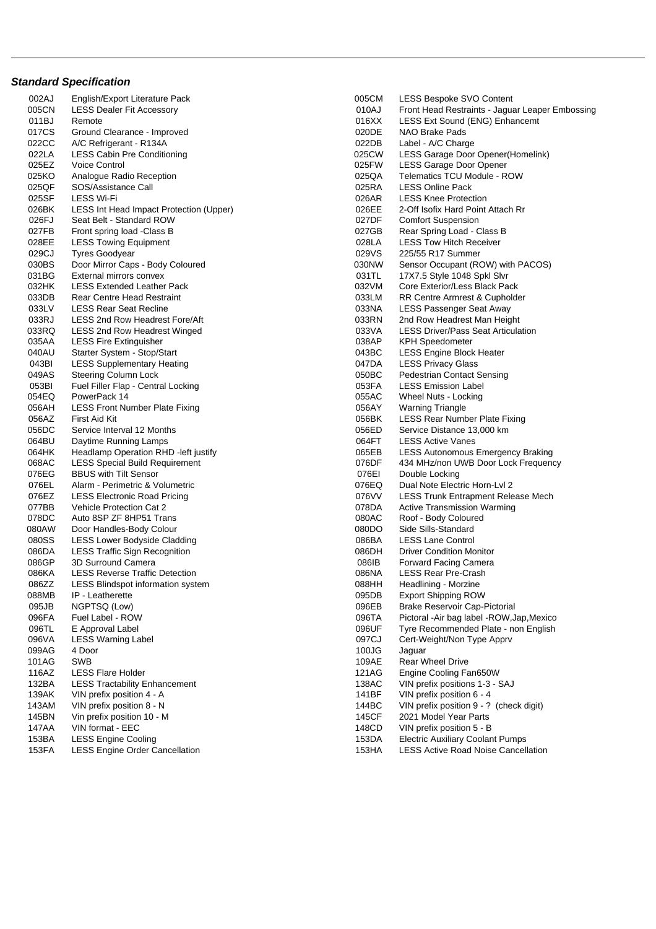## **Standard Specification**

002AJ English/Export Literature Pack 005CM LESS Bespoke SVO Content 011BJ Remote **12 Contract Sound CENG** CONSULTER CONTRACT CONSULTER CONTRACT CONSULTER CONTRACT CONSULTER CONTRACT CONTRACT CONTRACT CONTRACT CONTRACT CONTRACT CONTRACT CONTRACT CONTRACT CONTRACT CONTRACT CONTRACT CONTRACT 017CS Ground Clearance - Improved **020DE** NAO Brake Pads 022CC A/C Refrigerant - R134A 022DB Label - A/C Charge 022LA LESS Cabin Pre Conditioning and the control of the control of the control of the control of the control o<br>025EZ Voice Control of Control of the control of the control of the control of the control of the control of t 025EZ Voice Control 025FW LESS Garage Door Opener 025KO Analogue Radio Reception and the control of the control of the control of the control of the control of t<br>025QF SOS/Assistance Call and the control of the control of the control of the control of the control of the c 025QF SOS/Assistance Call 025RA LESS Online Pack 025SF LESS Wi-Fi 026AR LESS Knee Protection 026BK LESS Int Head Impact Protection (Upper) 026EE 2-Off Isofix Hard Point Attach Rr 026FJ Seat Belt - Standard ROW 027DF Comfort Suspension 027FB Front spring load -Class B 027GB Rear Spring Load - Class B 028EE LESS Towing Equipment **Calculation Contract Contract Contract Contract Contract Contract Contract Contract Contract Contract Contract Contract Contract Contract Contract Contract Contract Contract Contract Contract C** 029CJ Tyres Goodyear **029CJ** Tyres Goodyear **1986** 030BS Door Mirror Caps - Body Coloured **030NW** Sensor Occupant (ROW) with PACOS) 031BG External mirrors convex external mirrors convex convex external mirrors convex convex extending the material of the material of the material of the material of the material of the material of the material of the mate 032HK LESS Extended Leather Pack **Core Exterior/Less Black Pack** 032VM Core Exterior/Less Black Pack 033DB Rear Centre Head Restraint Note 1 2008 1033LM RR Centre Armrest & Cupholder 033LV LESS Rear Seat Recline **Department Constructs COSS** Passenger Seat Away 033RJ LESS 2nd Row Headrest Fore/Aft **Canadian Constructs Constructs** 033RN 2nd Row Headrest Man Height 033RQ LESS 2nd Row Headrest Winged **033VA** LESS Driver/Pass Seat Articulation 035AA LESS Fire Extinguisher **Contract Contract Contract Contract Contract Contract Contract Contract Contract Contract Contract Contract Contract Contract Contract Contract Contract Contract Contract Contract Contract Con** 040AU Starter System - Stop/Start 043BC LESS Engine Block Heater 043BI LESS Supplementary Heating 047DA LESS Privacy Glass 049AS Steering Column Lock 050BC Pedestrian Contact Sensing 053BI Fuel Filler Flap - Central Locking emission Label 053FA 054EQ PowerPack 14 055AC Wheel Nuts - Locking 056AH LESS Front Number Plate Fixing 056AY Warning Triangle 056AZ First Aid Kit 056BK LESS Rear Number Plate Fixing 056DC Service Interval 12 Months **Canadian Control Control Control Control** Control Control Control Control Contr<br>064BU Davtime Running Lamps Control Control Control Control Control Control Control Control Control Control 064BU Daytime Running Lamps<br>
064HK Headlamp Operation RHD -left justify  $064$ HK BESS Autonomous 076EG BBUS with Tilt Sensor **Disk in the Senson Constant Constant Constant Constant Constant Constant Constant**<br>076EL Alarm - Perimetric & Volumetric **Disk in the Senson Constant Constant Constant Constant Constant Constan** 076EL Alarm - Perimetric & Volumetric 076EQ Dual Note 2076EQ 077BB Vehicle Protection Cat 2 077BB Vehicle Protection Cat 2 078DA Active Transmission Warming<br>078DC Auto 8SP ZE 8HP51 Trans Auto 8SP ZF 8HP51 Trans 080AW Door Handles-Body Colour **Disk and American Colour Colour Colour** 080DO Side Sills-Standard 080SS LESS Lower Bodyside Cladding (and the control of the control of the control of the control of the control<br>086DA LESS Traffic Sign Recognition (and the control of the condition Monitor) LESS Traffic Sign Recognition 086GP 3D Surround Camera 086IB Forward Facing Camera 086KA LESS Reverse Traffic Detection (1999) 1999 (1999) 086NA LESS Rear Pre-Crash (1999) 086NA LESS Rear Pre-Crash<br>1986ZZ LESS Blindspot information system (1999) 1999 (1999) 088HH Headlining - Morzine 086ZZ LESS Blindspot information system 088HH Headlining - Morzine 088MB IP - Leatherette **DESAULT CONSTRUCTED IN THE CONSTRUCTED AT A CONSTRUCTED AT A CONSTRUCTED AT A CONSTRUCTED AT A CONSTRUCTED AND THE OBSTRACTS OF DETAILS OF THE ORDER ON THE ORDER OF THE ORDER OF THE ORDER OF THE ORD** 095JB NGPTSQ (Low) 095JB NGPTSQ (Low) 096EB Brake Reservoir Cap-Pictorial<br>096EA Fuel Label - ROW 096TA 096TA Pictoral -Air bag label - ROW 096VA LESS Warning Label 097CJ Cert-Weight/Non Type Apprv 099AG 4 Door 100JG Jaguar 100JG Jaguar 100JG Jaguar 100JG Jaguar 100JG Jaguar 100JG Jaguar 100JG Jaguar 100JG Jaguar 101AG SWB 109AE Rear Wheel Drive 116AZ LESS Flare Holder 121AG Engine Cooling Fan650W 139AK VIN prefix position 4 - A 143AM VIN prefix position 8 - N<br>145BN Vin prefix position 10 - M 145CF 2021 Model Year Parts Vin prefix position 10 - M 145CF 2021 Model Year Parts 147AA VIN format - EEC 148CD VIN prefix position 5 - B 153BA LESS Engine Cooling 153DA Electric Auxiliary Coolant Pumps

LESS Dealer Fit Accessory **DEAL Accessory DEAL ACCESS** Dealer Fit Accessory **DEAL ACCESS** Dealer Embossing LESS Autonomous Emergency Braking 068AC LESS Special Build Requirement **076DF** 434 MHz/non UWB Door Lock Frequency 076EZ LESS Electronic Road Pricing 076VV LESS Trunk Entrapment Release Mech 096FA Fuel Label - ROW 096TA Pictoral -Air bag label -ROW,Jap,Mexico 096TL E Approval Label **Contract Contract Contract Contract Contract Contract Contract Contract Contract Contract Contract Contract Contract Contract Contract Contract Contract Contract Contract Contract Contract Contract** LESS Tractability Enhancement<br>
138AC VIN prefix position 4 - A<br>
141BF VIN prefix position 6 - 4 153FA LESS Engine Order Cancellation 153HA LESS Active Road Noise Cancellation